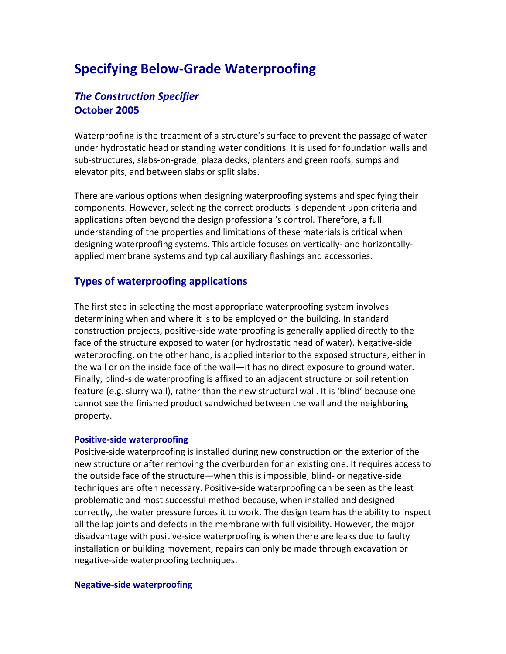# **Specifying Below‐Grade Waterproofing**

## *The Construction Specifier* **October 2005**

Waterproofing is the treatment of a structure's surface to prevent the passage of water under hydrostatic head or standing water conditions. It is used for foundation walls and sub‐structures, slabs‐on‐grade, plaza decks, planters and green roofs, sumps and elevator pits, and between slabs or split slabs.

There are various options when designing waterproofing systems and specifying their components. However, selecting the correct products is dependent upon criteria and applications often beyond the design professional's control. Therefore, a full understanding of the properties and limitations of these materials is critical when designing waterproofing systems. This article focuses on vertically‐ and horizontally‐ applied membrane systems and typical auxiliary flashings and accessories.

### **Types of waterproofing applications**

The first step in selecting the most appropriate waterproofing system involves determining when and where it is to be employed on the building. In standard construction projects, positive‐side waterproofing is generally applied directly to the face of the structure exposed to water (or hydrostatic head of water). Negative‐side waterproofing, on the other hand, is applied interior to the exposed structure, either in the wall or on the inside face of the wall—it has no direct exposure to ground water. Finally, blind‐side waterproofing is affixed to an adjacent structure or soil retention feature (e.g. slurry wall), rather than the new structural wall. It is 'blind' because one cannot see the finished product sandwiched between the wall and the neighboring property.

#### **Positive‐side waterproofing**

Positive‐side waterproofing is installed during new construction on the exterior of the new structure or after removing the overburden for an existing one. It requires access to the outside face of the structure—when this is impossible, blind‐ or negative‐side techniques are often necessary. Positive‐side waterproofing can be seen as the least problematic and most successful method because, when installed and designed correctly, the water pressure forces it to work. The design team has the ability to inspect all the lap joints and defects in the membrane with full visibility. However, the major disadvantage with positive‐side waterproofing is when there are leaks due to faulty installation or building movement, repairs can only be made through excavation or negative‐side waterproofing techniques.

#### **Negative‐side waterproofing**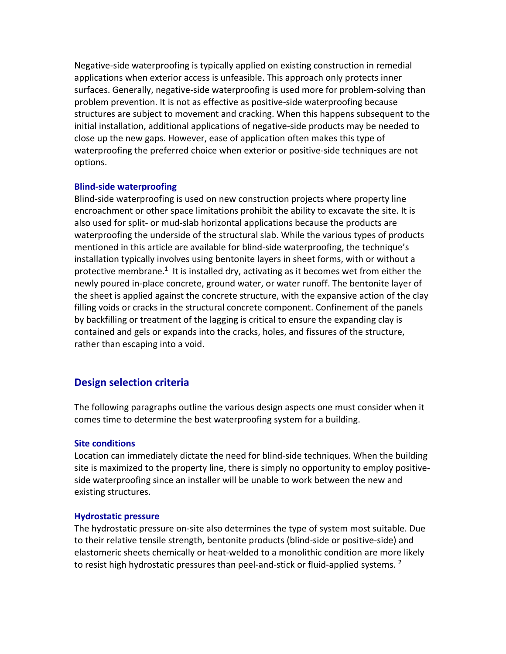Negative‐side waterproofing is typically applied on existing construction in remedial applications when exterior access is unfeasible. This approach only protects inner surfaces. Generally, negative‐side waterproofing is used more for problem‐solving than problem prevention. It is not as effective as positive‐side waterproofing because structures are subject to movement and cracking. When this happens subsequent to the initial installation, additional applications of negative‐side products may be needed to close up the new gaps. However, ease of application often makes this type of waterproofing the preferred choice when exterior or positive‐side techniques are not options.

#### **Blind‐side waterproofing**

Blind‐side waterproofing is used on new construction projects where property line encroachment or other space limitations prohibit the ability to excavate the site. It is also used for split‐ or mud‐slab horizontal applications because the products are waterproofing the underside of the structural slab. While the various types of products mentioned in this article are available for blind‐side waterproofing, the technique's installation typically involves using bentonite layers in sheet forms, with or without a protective membrane.<sup>1</sup> It is installed dry, activating as it becomes wet from either the newly poured in‐place concrete, ground water, or water runoff. The bentonite layer of the sheet is applied against the concrete structure, with the expansive action of the clay filling voids or cracks in the structural concrete component. Confinement of the panels by backfilling or treatment of the lagging is critical to ensure the expanding clay is contained and gels or expands into the cracks, holes, and fissures of the structure, rather than escaping into a void.

### **Design selection criteria**

The following paragraphs outline the various design aspects one must consider when it comes time to determine the best waterproofing system for a building.

#### **Site conditions**

Location can immediately dictate the need for blind‐side techniques. When the building site is maximized to the property line, there is simply no opportunity to employ positiveside waterproofing since an installer will be unable to work between the new and existing structures.

#### **Hydrostatic pressure**

The hydrostatic pressure on‐site also determines the type of system most suitable. Due to their relative tensile strength, bentonite products (blind‐side or positive‐side) and elastomeric sheets chemically or heat‐welded to a monolithic condition are more likely to resist high hydrostatic pressures than peel-and-stick or fluid-applied systems.  $2$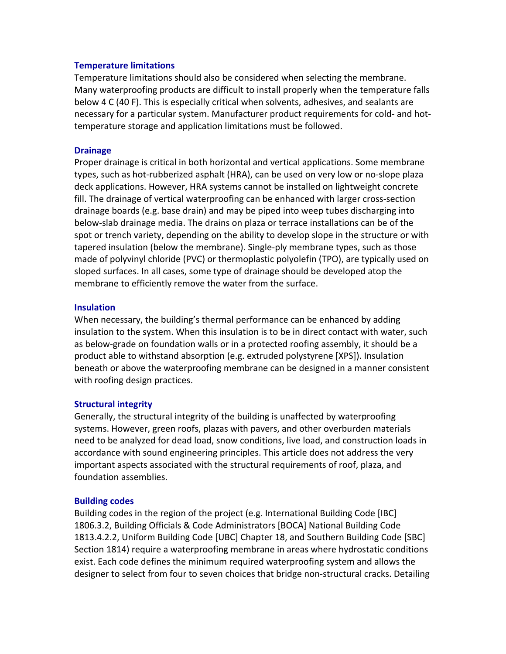#### **Temperature limitations**

Temperature limitations should also be considered when selecting the membrane. Many waterproofing products are difficult to install properly when the temperature falls below 4 C (40 F). This is especially critical when solvents, adhesives, and sealants are necessary for a particular system. Manufacturer product requirements for cold‐ and hot‐ temperature storage and application limitations must be followed.

#### **Drainage**

Proper drainage is critical in both horizontal and vertical applications. Some membrane types, such as hot‐rubberized asphalt (HRA), can be used on very low or no‐slope plaza deck applications. However, HRA systems cannot be installed on lightweight concrete fill. The drainage of vertical waterproofing can be enhanced with larger cross‐section drainage boards (e.g. base drain) and may be piped into weep tubes discharging into below‐slab drainage media. The drains on plaza or terrace installations can be of the spot or trench variety, depending on the ability to develop slope in the structure or with tapered insulation (below the membrane). Single‐ply membrane types, such as those made of polyvinyl chloride (PVC) or thermoplastic polyolefin (TPO), are typically used on sloped surfaces. In all cases, some type of drainage should be developed atop the membrane to efficiently remove the water from the surface.

#### **Insulation**

When necessary, the building's thermal performance can be enhanced by adding insulation to the system. When this insulation is to be in direct contact with water, such as below‐grade on foundation walls or in a protected roofing assembly, it should be a product able to withstand absorption (e.g. extruded polystyrene [XPS]). Insulation beneath or above the waterproofing membrane can be designed in a manner consistent with roofing design practices.

#### **Structural integrity**

Generally, the structural integrity of the building is unaffected by waterproofing systems. However, green roofs, plazas with pavers, and other overburden materials need to be analyzed for dead load, snow conditions, live load, and construction loads in accordance with sound engineering principles. This article does not address the very important aspects associated with the structural requirements of roof, plaza, and foundation assemblies.

#### **Building codes**

Building codes in the region of the project (e.g. International Building Code [IBC] 1806.3.2, Building Officials & Code Administrators [BOCA] National Building Code 1813.4.2.2, Uniform Building Code [UBC] Chapter 18, and Southern Building Code [SBC] Section 1814) require a waterproofing membrane in areas where hydrostatic conditions exist. Each code defines the minimum required waterproofing system and allows the designer to select from four to seven choices that bridge non‐structural cracks. Detailing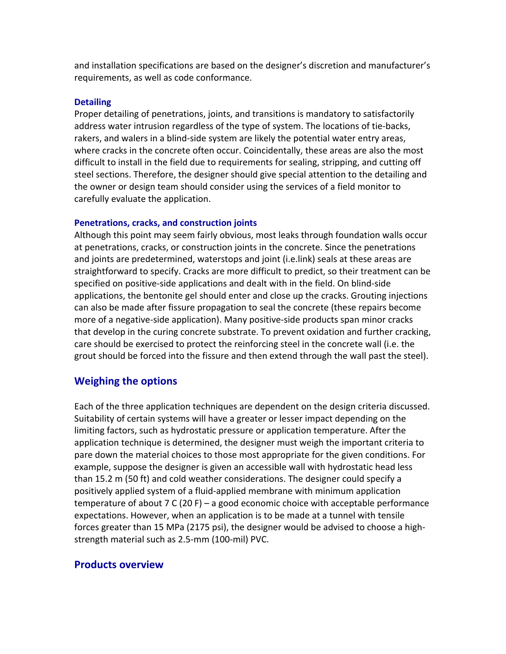and installation specifications are based on the designer's discretion and manufacturer's requirements, as well as code conformance.

#### **Detailing**

Proper detailing of penetrations, joints, and transitions is mandatory to satisfactorily address water intrusion regardless of the type of system. The locations of tie‐backs, rakers, and walers in a blind‐side system are likely the potential water entry areas, where cracks in the concrete often occur. Coincidentally, these areas are also the most difficult to install in the field due to requirements for sealing, stripping, and cutting off steel sections. Therefore, the designer should give special attention to the detailing and the owner or design team should consider using the services of a field monitor to carefully evaluate the application.

#### **Penetrations, cracks, and construction joints**

Although this point may seem fairly obvious, most leaks through foundation walls occur at penetrations, cracks, or construction joints in the concrete. Since the penetrations and joints are predetermined, waterstops and joint (i.e.link) seals at these areas are straightforward to specify. Cracks are more difficult to predict, so their treatment can be specified on positive‐side applications and dealt with in the field. On blind‐side applications, the bentonite gel should enter and close up the cracks. Grouting injections can also be made after fissure propagation to seal the concrete (these repairs become more of a negative‐side application). Many positive‐side products span minor cracks that develop in the curing concrete substrate. To prevent oxidation and further cracking, care should be exercised to protect the reinforcing steel in the concrete wall (i.e. the grout should be forced into the fissure and then extend through the wall past the steel).

### **Weighing the options**

Each of the three application techniques are dependent on the design criteria discussed. Suitability of certain systems will have a greater or lesser impact depending on the limiting factors, such as hydrostatic pressure or application temperature. After the application technique is determined, the designer must weigh the important criteria to pare down the material choices to those most appropriate for the given conditions. For example, suppose the designer is given an accessible wall with hydrostatic head less than 15.2 m (50 ft) and cold weather considerations. The designer could specify a positively applied system of a fluid‐applied membrane with minimum application temperature of about 7 C (20 F) – a good economic choice with acceptable performance expectations. However, when an application is to be made at a tunnel with tensile forces greater than 15 MPa (2175 psi), the designer would be advised to choose a high‐ strength material such as 2.5‐mm (100‐mil) PVC.

#### **Products overview**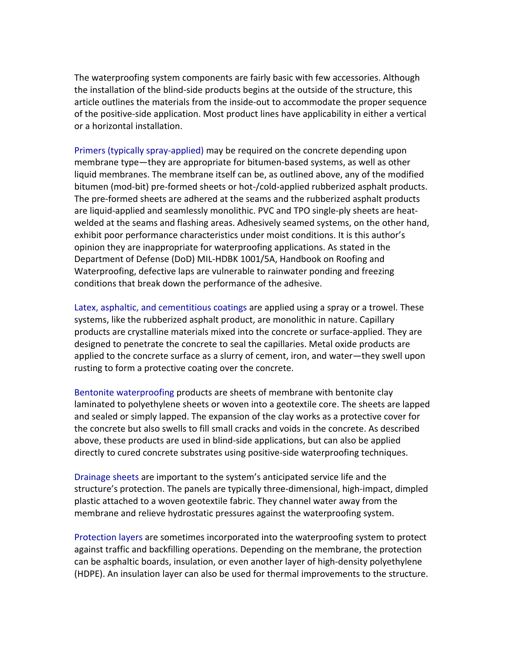The waterproofing system components are fairly basic with few accessories. Although the installation of the blind‐side products begins at the outside of the structure, this article outlines the materials from the inside‐out to accommodate the proper sequence of the positive‐side application. Most product lines have applicability in either a vertical or a horizontal installation.

Primers (typically spray‐applied) may be required on the concrete depending upon membrane type—they are appropriate for bitumen‐based systems, as well as other liquid membranes. The membrane itself can be, as outlined above, any of the modified bitumen (mod‐bit) pre‐formed sheets or hot‐/cold‐applied rubberized asphalt products. The pre‐formed sheets are adhered at the seams and the rubberized asphalt products are liquid‐applied and seamlessly monolithic. PVC and TPO single‐ply sheets are heat‐ welded at the seams and flashing areas. Adhesively seamed systems, on the other hand, exhibit poor performance characteristics under moist conditions. It is this author's opinion they are inappropriate for waterproofing applications. As stated in the Department of Defense (DoD) MIL‐HDBK 1001/5A, Handbook on Roofing and Waterproofing, defective laps are vulnerable to rainwater ponding and freezing conditions that break down the performance of the adhesive.

Latex, asphaltic, and cementitious coatings are applied using a spray or a trowel. These systems, like the rubberized asphalt product, are monolithic in nature. Capillary products are crystalline materials mixed into the concrete or surface‐applied. They are designed to penetrate the concrete to seal the capillaries. Metal oxide products are applied to the concrete surface as a slurry of cement, iron, and water—they swell upon rusting to form a protective coating over the concrete.

Bentonite waterproofing products are sheets of membrane with bentonite clay laminated to polyethylene sheets or woven into a geotextile core. The sheets are lapped and sealed or simply lapped. The expansion of the clay works as a protective cover for the concrete but also swells to fill small cracks and voids in the concrete. As described above, these products are used in blind‐side applications, but can also be applied directly to cured concrete substrates using positive‐side waterproofing techniques.

Drainage sheets are important to the system's anticipated service life and the structure's protection. The panels are typically three‐dimensional, high‐impact, dimpled plastic attached to a woven geotextile fabric. They channel water away from the membrane and relieve hydrostatic pressures against the waterproofing system.

Protection layers are sometimes incorporated into the waterproofing system to protect against traffic and backfilling operations. Depending on the membrane, the protection can be asphaltic boards, insulation, or even another layer of high‐density polyethylene (HDPE). An insulation layer can also be used for thermal improvements to the structure.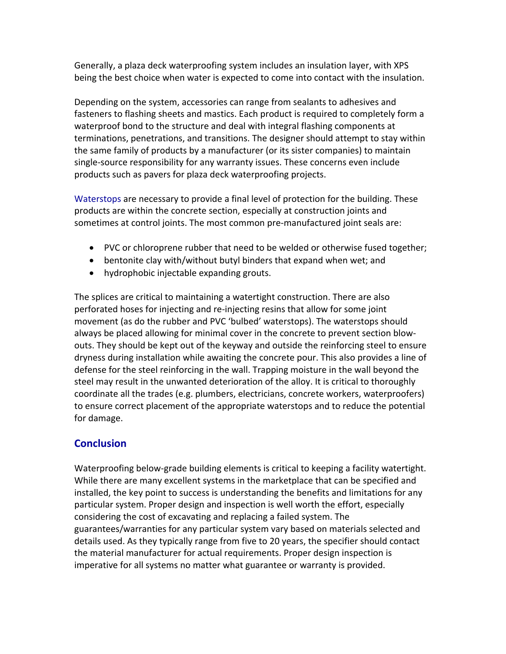Generally, a plaza deck waterproofing system includes an insulation layer, with XPS being the best choice when water is expected to come into contact with the insulation.

Depending on the system, accessories can range from sealants to adhesives and fasteners to flashing sheets and mastics. Each product is required to completely form a waterproof bond to the structure and deal with integral flashing components at terminations, penetrations, and transitions. The designer should attempt to stay within the same family of products by a manufacturer (or its sister companies) to maintain single‐source responsibility for any warranty issues. These concerns even include products such as pavers for plaza deck waterproofing projects.

Waterstops are necessary to provide a final level of protection for the building. These products are within the concrete section, especially at construction joints and sometimes at control joints. The most common pre‐manufactured joint seals are:

- PVC or chloroprene rubber that need to be welded or otherwise fused together;
- bentonite clay with/without butyl binders that expand when wet; and
- hydrophobic injectable expanding grouts.

The splices are critical to maintaining a watertight construction. There are also perforated hoses for injecting and re‐injecting resins that allow for some joint movement (as do the rubber and PVC 'bulbed' waterstops). The waterstops should always be placed allowing for minimal cover in the concrete to prevent section blow‐ outs. They should be kept out of the keyway and outside the reinforcing steel to ensure dryness during installation while awaiting the concrete pour. This also provides a line of defense for the steel reinforcing in the wall. Trapping moisture in the wall beyond the steel may result in the unwanted deterioration of the alloy. It is critical to thoroughly coordinate all the trades (e.g. plumbers, electricians, concrete workers, waterproofers) to ensure correct placement of the appropriate waterstops and to reduce the potential for damage.

# **Conclusion**

Waterproofing below-grade building elements is critical to keeping a facility watertight. While there are many excellent systems in the marketplace that can be specified and installed, the key point to success is understanding the benefits and limitations for any particular system. Proper design and inspection is well worth the effort, especially considering the cost of excavating and replacing a failed system. The guarantees/warranties for any particular system vary based on materials selected and details used. As they typically range from five to 20 years, the specifier should contact the material manufacturer for actual requirements. Proper design inspection is imperative for all systems no matter what guarantee or warranty is provided.